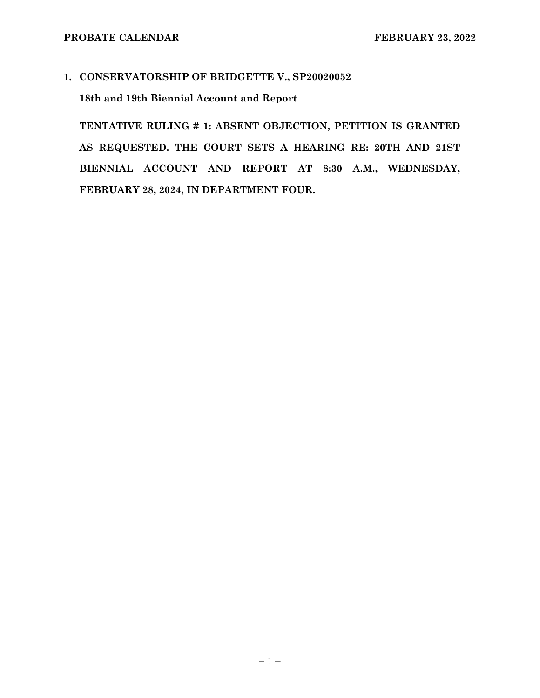**1. CONSERVATORSHIP OF BRIDGETTE V., SP20020052** 

**18th and 19th Biennial Account and Report** 

**TENTATIVE RULING # 1: ABSENT OBJECTION, PETITION IS GRANTED AS REQUESTED. THE COURT SETS A HEARING RE: 20TH AND 21ST BIENNIAL ACCOUNT AND REPORT AT 8:30 A.M., WEDNESDAY, FEBRUARY 28, 2024, IN DEPARTMENT FOUR.**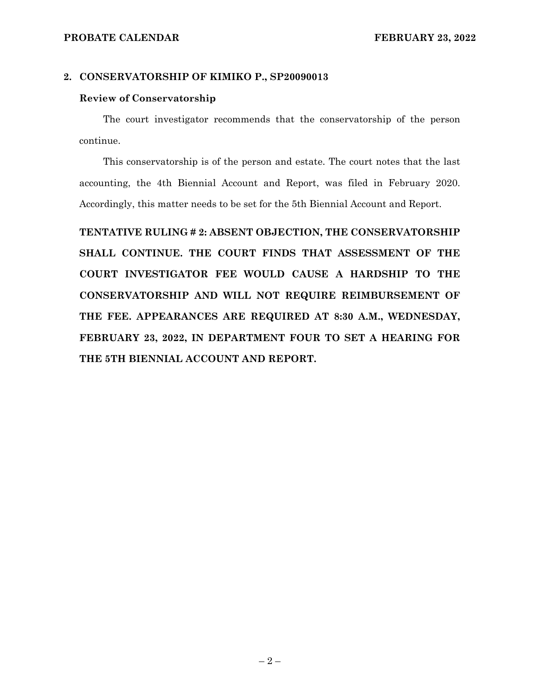#### **PROBATE CALENDAR FEBRUARY 23, 2022**

#### **2. CONSERVATORSHIP OF KIMIKO P., SP20090013**

#### **Review of Conservatorship**

The court investigator recommends that the conservatorship of the person continue.

This conservatorship is of the person and estate. The court notes that the last accounting, the 4th Biennial Account and Report, was filed in February 2020. Accordingly, this matter needs to be set for the 5th Biennial Account and Report.

**TENTATIVE RULING # 2: ABSENT OBJECTION, THE CONSERVATORSHIP SHALL CONTINUE. THE COURT FINDS THAT ASSESSMENT OF THE COURT INVESTIGATOR FEE WOULD CAUSE A HARDSHIP TO THE CONSERVATORSHIP AND WILL NOT REQUIRE REIMBURSEMENT OF THE FEE. APPEARANCES ARE REQUIRED AT 8:30 A.M., WEDNESDAY, FEBRUARY 23, 2022, IN DEPARTMENT FOUR TO SET A HEARING FOR THE 5TH BIENNIAL ACCOUNT AND REPORT.**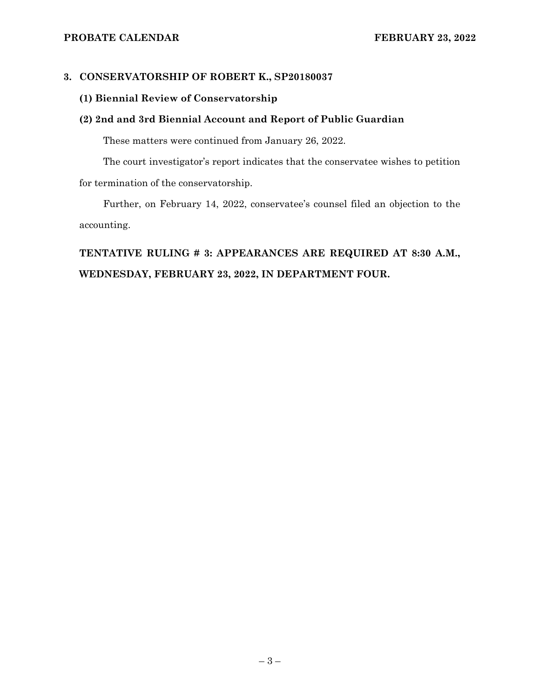# **3. CONSERVATORSHIP OF ROBERT K., SP20180037**

# **(1) Biennial Review of Conservatorship**

# **(2) 2nd and 3rd Biennial Account and Report of Public Guardian**

These matters were continued from January 26, 2022.

The court investigator's report indicates that the conservatee wishes to petition for termination of the conservatorship.

Further, on February 14, 2022, conservatee's counsel filed an objection to the accounting.

# **TENTATIVE RULING # 3: APPEARANCES ARE REQUIRED AT 8:30 A.M., WEDNESDAY, FEBRUARY 23, 2022, IN DEPARTMENT FOUR.**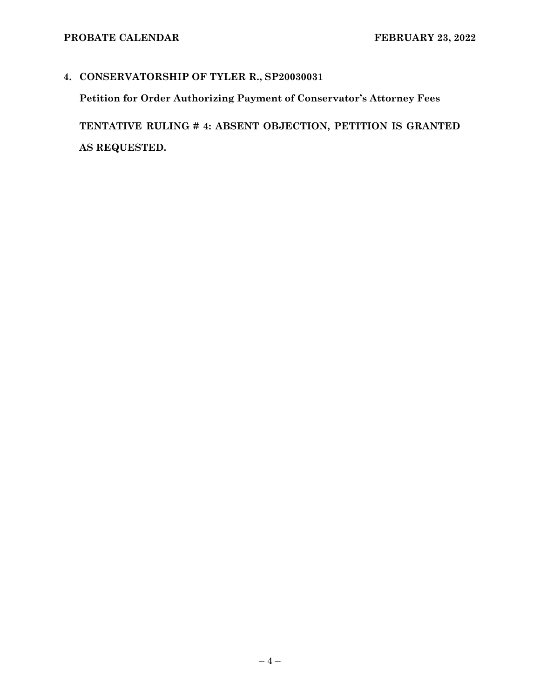# **4. CONSERVATORSHIP OF TYLER R., SP20030031**

**Petition for Order Authorizing Payment of Conservator's Attorney Fees** 

**TENTATIVE RULING # 4: ABSENT OBJECTION, PETITION IS GRANTED AS REQUESTED.**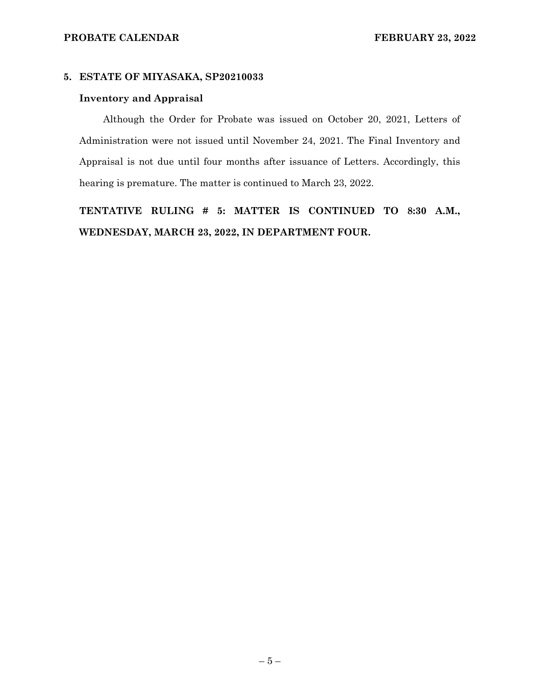#### **5. ESTATE OF MIYASAKA, SP20210033**

#### **Inventory and Appraisal**

Although the Order for Probate was issued on October 20, 2021, Letters of Administration were not issued until November 24, 2021. The Final Inventory and Appraisal is not due until four months after issuance of Letters. Accordingly, this hearing is premature. The matter is continued to March 23, 2022.

**TENTATIVE RULING # 5: MATTER IS CONTINUED TO 8:30 A.M., WEDNESDAY, MARCH 23, 2022, IN DEPARTMENT FOUR.**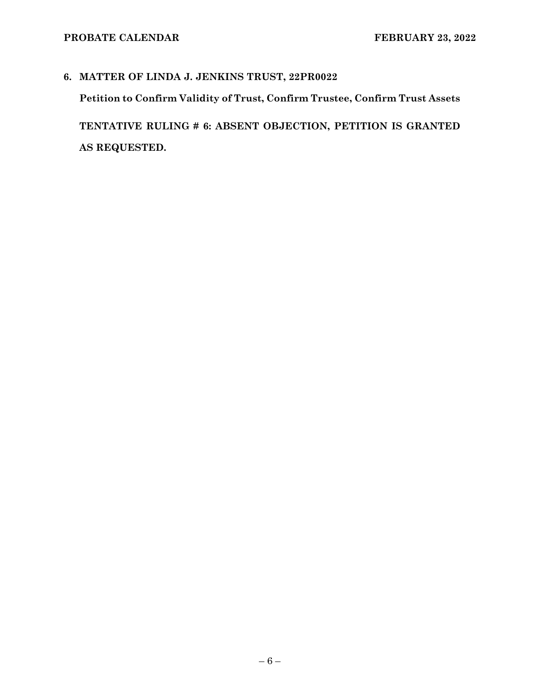# **6. MATTER OF LINDA J. JENKINS TRUST, 22PR0022 Petition to Confirm Validity of Trust, Confirm Trustee, Confirm Trust Assets TENTATIVE RULING # 6: ABSENT OBJECTION, PETITION IS GRANTED AS REQUESTED.**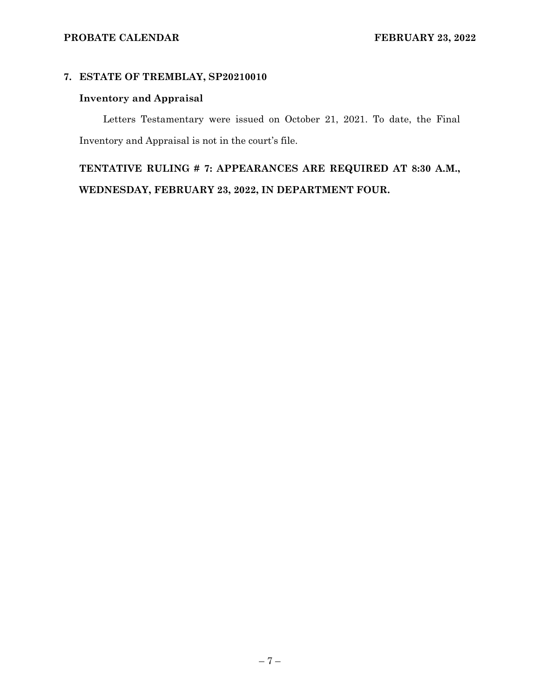# **7. ESTATE OF TREMBLAY, SP20210010**

# **Inventory and Appraisal**

Letters Testamentary were issued on October 21, 2021. To date, the Final Inventory and Appraisal is not in the court's file.

**TENTATIVE RULING # 7: APPEARANCES ARE REQUIRED AT 8:30 A.M., WEDNESDAY, FEBRUARY 23, 2022, IN DEPARTMENT FOUR.**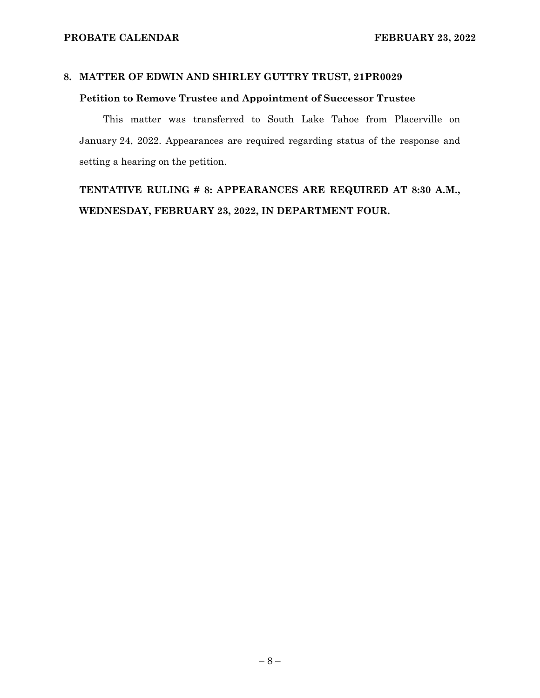# **8. MATTER OF EDWIN AND SHIRLEY GUTTRY TRUST, 21PR0029**

# **Petition to Remove Trustee and Appointment of Successor Trustee**

This matter was transferred to South Lake Tahoe from Placerville on January 24, 2022. Appearances are required regarding status of the response and setting a hearing on the petition.

**TENTATIVE RULING # 8: APPEARANCES ARE REQUIRED AT 8:30 A.M., WEDNESDAY, FEBRUARY 23, 2022, IN DEPARTMENT FOUR.**